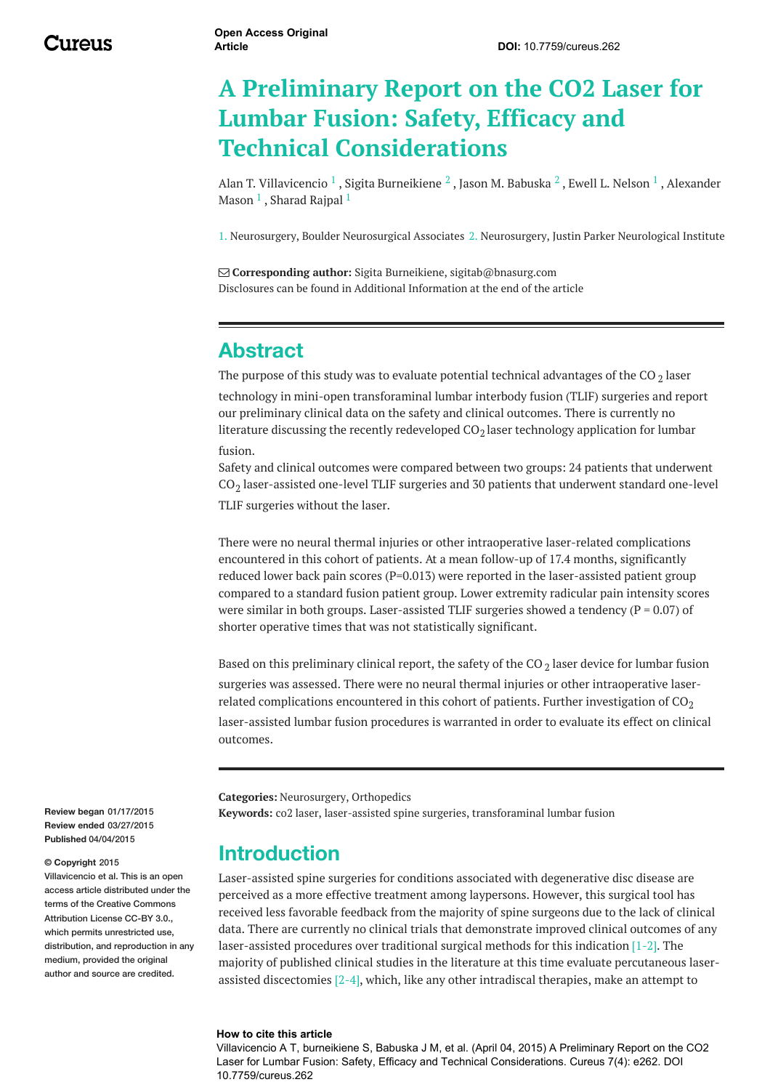# **A Preliminary Report on the CO2 Laser for Lumbar Fusion: Safety, Efficacy and Technical Considerations**

Alan T. [Villavicencio](http://www.cureus.com/users/17556-alan-t-villavicencio)  $^1$  , Sigita [Burneikiene](http://www.cureus.com/users/17546-sigita-burneikiene)  $^2$  , Jason M. [Babuska](http://www.cureus.com/users/17557-jason-m-babuska)  $^2$  , Ewell L. [Nelson](http://www.cureus.com/users/17558-ewell-l-nelson)  $^1$  , Alexander Mason  $^1$  , [Sharad](http://www.cureus.com/users/17560-sharad-rajpal) Rajpal  $^1$ 

1. Neurosurgery, Boulder Neurosurgical Associates 2. Neurosurgery, Justin Parker Neurological Institute

 **Corresponding author:** Sigita Burneikiene, sigitab@bnasurg.com Disclosures can be found in Additional Information at the end of the article

### **Abstract**

The purpose of this study was to evaluate potential technical advantages of the CO  $_2$  laser

technology in mini-open transforaminal lumbar interbody fusion (TLIF) surgeries and report our preliminary clinical data on the safety and clinical outcomes. There is currently no literature discussing the recently redeveloped CO $_2$ laser technology application for lumbar fusion.

Safety and clinical outcomes were compared between two groups: 24 patients that underwent  $\text{CO}_2$  laser-assisted one-level TLIF surgeries and 30 patients that underwent standard one-level TLIF surgeries without the laser.

There were no neural thermal injuries or other intraoperative laser-related complications encountered in this cohort of patients. At a mean follow-up of 17.4 months, significantly reduced lower back pain scores (P=0.013) were reported in the laser-assisted patient group compared to a standard fusion patient group. Lower extremity radicular pain intensity scores were similar in both groups. Laser-assisted TLIF surgeries showed a tendency ( $P = 0.07$ ) of shorter operative times that was not statistically significant.

Based on this preliminary clinical report, the safety of the CO  $_2$  laser device for lumbar fusion surgeries was assessed. There were no neural thermal injuries or other intraoperative laserrelated complications encountered in this cohort of patients. Further investigation of  $CO<sub>2</sub>$ 

laser-assisted lumbar fusion procedures is warranted in order to evaluate its effect on clinical outcomes.

**Categories:** Neurosurgery, Orthopedics

**Keywords:** co2 laser, laser-assisted spine surgeries, transforaminal lumbar fusion

### **Introduction**

Laser-assisted spine surgeries for conditions associated with degenerative disc disease are perceived as a more effective treatment among laypersons. However, this surgical tool has received less favorable feedback from the majority of spine surgeons due to the lack of clinical data. There are currently no clinical trials that demonstrate improved clinical outcomes of any laser-assisted procedures over traditional surgical methods for this indication [1-2]. The majority of published clinical studies in the literature at this time evaluate percutaneous laserassisted discectomies  $[2-4]$ , which, like any other intradiscal therapies, make an attempt to

#### **How to cite this article**

Villavicencio A T, burneikiene S, Babuska J M, et al. (April 04, 2015) A Preliminary Report on the CO2 Laser for Lumbar Fusion: Safety, Efficacy and Technical Considerations. Cureus 7(4): e262. DOI 10.7759/cureus.262

**Review began** 01/17/2015 **Review ended** 03/27/2015 **Published** 04/04/2015

#### **© Copyright** 2015

Villavicencio et al. This is an open access article distributed under the terms of the Creative Commons Attribution License CC-BY 3.0. which permits unrestricted use, distribution, and reproduction in any medium, provided the original author and source are credited.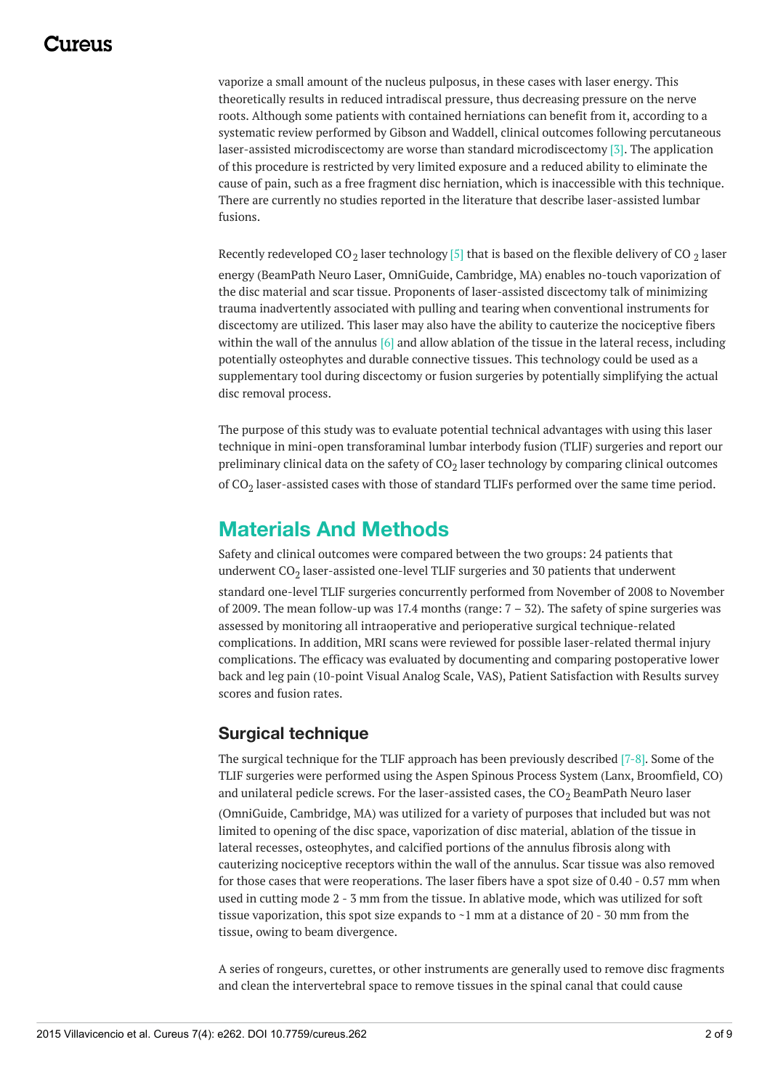### 1174110

vaporize a small amount of the nucleus pulposus, in these cases with laser energy. This theoretically results in reduced intradiscal pressure, thus decreasing pressure on the nerve roots. Although some patients with contained herniations can benefit from it, according to a systematic review performed by Gibson and Waddell, clinical outcomes following percutaneous laser-assisted microdiscectomy are worse than standard microdiscectomy [3]. The application of this procedure is restricted by very limited exposure and a reduced ability to eliminate the cause of pain, such as a free fragment disc herniation, which is inaccessible with this technique. There are currently no studies reported in the literature that describe laser-assisted lumbar fusions.

Recently redeveloped CO $_2$  laser technology [5] that is based on the flexible delivery of CO  $_2$  laser energy (BeamPath Neuro Laser, OmniGuide, Cambridge, MA) enables no-touch vaporization of the disc material and scar tissue. Proponents of laser-assisted discectomy talk of minimizing trauma inadvertently associated with pulling and tearing when conventional instruments for discectomy are utilized. This laser may also have the ability to cauterize the nociceptive fibers within the wall of the annulus  $[6]$  and allow ablation of the tissue in the lateral recess, including potentially osteophytes and durable connective tissues. This technology could be used as a supplementary tool during discectomy or fusion surgeries by potentially simplifying the actual disc removal process.

The purpose of this study was to evaluate potential technical advantages with using this laser technique in mini-open transforaminal lumbar interbody fusion (TLIF) surgeries and report our preliminary clinical data on the safety of CO $_2$  laser technology by comparing clinical outcomes of CO<sub>2</sub> laser-assisted cases with those of standard TLIFs performed over the same time period.

### **Materials And Methods**

Safety and clinical outcomes were compared between the two groups: 24 patients that underwent CO $_{\rm 2}$  laser-assisted one-level TLIF surgeries and 30 patients that underwent standard one-level TLIF surgeries concurrently performed from November of 2008 to November of 2009. The mean follow-up was 17.4 months (range:  $7 - 32$ ). The safety of spine surgeries was assessed by monitoring all intraoperative and perioperative surgical technique-related complications. In addition, MRI scans were reviewed for possible laser-related thermal injury complications. The efficacy was evaluated by documenting and comparing postoperative lower back and leg pain (10-point Visual Analog Scale, VAS), Patient Satisfaction with Results survey scores and fusion rates.

### **Surgical technique**

The surgical technique for the TLIF approach has been previously described [7-8]. Some of the TLIF surgeries were performed using the Aspen Spinous Process System (Lanx, Broomfield, CO) and unilateral pedicle screws. For the laser-assisted cases, the  $CO<sub>2</sub>$  BeamPath Neuro laser

(OmniGuide, Cambridge, MA) was utilized for a variety of purposes that included but was not limited to opening of the disc space, vaporization of disc material, ablation of the tissue in lateral recesses, osteophytes, and calcified portions of the annulus fibrosis along with cauterizing nociceptive receptors within the wall of the annulus. Scar tissue was also removed for those cases that were reoperations. The laser fibers have a spot size of 0.40 - 0.57 mm when used in cutting mode 2 - 3 mm from the tissue. In ablative mode, which was utilized for soft tissue vaporization, this spot size expands to  $\sim$ 1 mm at a distance of 20 - 30 mm from the tissue, owing to beam divergence.

A series of rongeurs, curettes, or other instruments are generally used to remove disc fragments and clean the intervertebral space to remove tissues in the spinal canal that could cause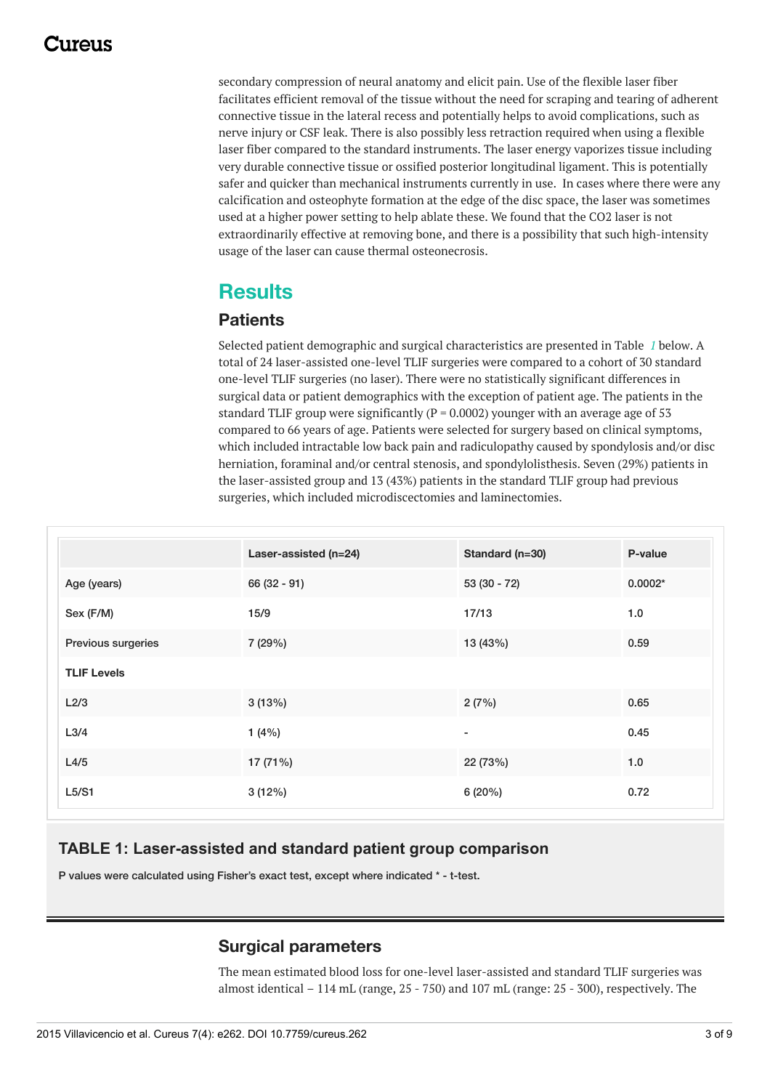### 117A119

secondary compression of neural anatomy and elicit pain. Use of the flexible laser fiber facilitates efficient removal of the tissue without the need for scraping and tearing of adherent connective tissue in the lateral recess and potentially helps to avoid complications, such as nerve injury or CSF leak. There is also possibly less retraction required when using a flexible laser fiber compared to the standard instruments. The laser energy vaporizes tissue including very durable connective tissue or ossified posterior longitudinal ligament. This is potentially safer and quicker than mechanical instruments currently in use. In cases where there were any calcification and osteophyte formation at the edge of the disc space, the laser was sometimes used at a higher power setting to help ablate these. We found that the CO2 laser is not extraordinarily effective at removing bone, and there is a possibility that such high-intensity usage of the laser can cause thermal osteonecrosis.

### **Results**

#### **Patients**

Selected patient demographic and surgical characteristics are presented in Table *[1](#page-2-0)* below. A total of 24 laser-assisted one-level TLIF surgeries were compared to a cohort of 30 standard one-level TLIF surgeries (no laser). There were no statistically significant differences in surgical data or patient demographics with the exception of patient age. The patients in the standard TLIF group were significantly ( $P = 0.0002$ ) younger with an average age of 53 compared to 66 years of age. Patients were selected for surgery based on clinical symptoms, which included intractable low back pain and radiculopathy caused by spondylosis and/or disc herniation, foraminal and/or central stenosis, and spondylolisthesis. Seven (29%) patients in the laser-assisted group and 13 (43%) patients in the standard TLIF group had previous surgeries, which included microdiscectomies and laminectomies.

<span id="page-2-0"></span>

|                    | Laser-assisted (n=24) | Standard (n=30)          | P-value   |
|--------------------|-----------------------|--------------------------|-----------|
| Age (years)        | $66(32 - 91)$         | $53(30 - 72)$            | $0.0002*$ |
| Sex (F/M)          | 15/9                  | 17/13                    | 1.0       |
| Previous surgeries | 7 (29%)               | 13 (43%)                 | 0.59      |
| <b>TLIF Levels</b> |                       |                          |           |
| L2/3               | 3(13%)                | 2(7%)                    | 0.65      |
| L <sub>3/4</sub>   | 1(4%)                 | $\overline{\phantom{a}}$ | 0.45      |
| L4/5               | 17 (71%)              | 22 (73%)                 | 1.0       |
| L5/S1              | 3(12%)                | 6(20%)                   | 0.72      |

#### **TABLE 1: Laser-assisted and standard patient group comparison**

P values were calculated using Fisher's exact test, except where indicated \* - t-test.

#### **Surgical parameters**

The mean estimated blood loss for one-level laser-assisted and standard TLIF surgeries was almost identical  $-114$  mL (range,  $25 - 750$ ) and  $107$  mL (range:  $25 - 300$ ), respectively. The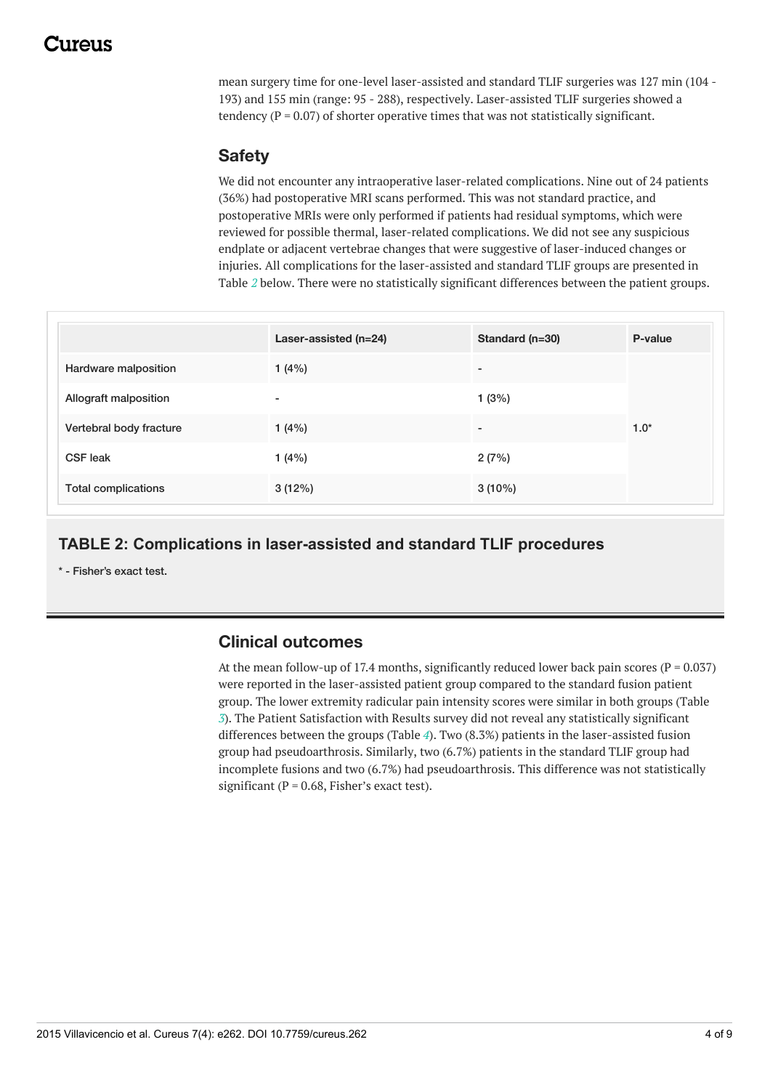### 117A119

mean surgery time for one-level laser-assisted and standard TLIF surgeries was 127 min (104 - 193) and 155 min (range: 95 - 288), respectively. Laser-assisted TLIF surgeries showed a tendency ( $P = 0.07$ ) of shorter operative times that was not statistically significant.

#### **Safety**

We did not encounter any intraoperative laser-related complications. Nine out of 24 patients (36%) had postoperative MRI scans performed. This was not standard practice, and postoperative MRIs were only performed if patients had residual symptoms, which were reviewed for possible thermal, laser-related complications. We did not see any suspicious endplate or adjacent vertebrae changes that were suggestive of laser-induced changes or injuries. All complications for the laser-assisted and standard TLIF groups are presented in Table *[2](#page-3-0)* below. There were no statistically significant differences between the patient groups.

<span id="page-3-0"></span>

|                            | Laser-assisted (n=24) | Standard (n=30)          | P-value |
|----------------------------|-----------------------|--------------------------|---------|
| Hardware malposition       | 1(4%)                 | $\overline{\phantom{a}}$ |         |
| Allograft malposition      | -                     | 1(3%)                    |         |
| Vertebral body fracture    | 1 $(4%)$              | $\overline{\phantom{a}}$ | $1.0*$  |
| <b>CSF leak</b>            | 1(4%)                 | 2(7%)                    |         |
| <b>Total complications</b> | 3(12%)                | $3(10\%)$                |         |

#### **TABLE 2: Complications in laser-assisted and standard TLIF procedures**

\* - Fisher's exact test.

#### **Clinical outcomes**

At the mean follow-up of 17.4 months, significantly reduced lower back pain scores ( $P = 0.037$ ) were reported in the laser-assisted patient group compared to the standard fusion patient group. The lower extremity radicular pain intensity scores were similar in both groups (Table *[3](#page-4-0)*). The Patient Satisfaction with Results survey did not reveal any statistically significant differences between the groups (Table *[4](#page-5-0)*). Two (8.3%) patients in the laser-assisted fusion group had pseudoarthrosis. Similarly, two (6.7%) patients in the standard TLIF group had incomplete fusions and two (6.7%) had pseudoarthrosis. This difference was not statistically significant ( $P = 0.68$ , Fisher's exact test).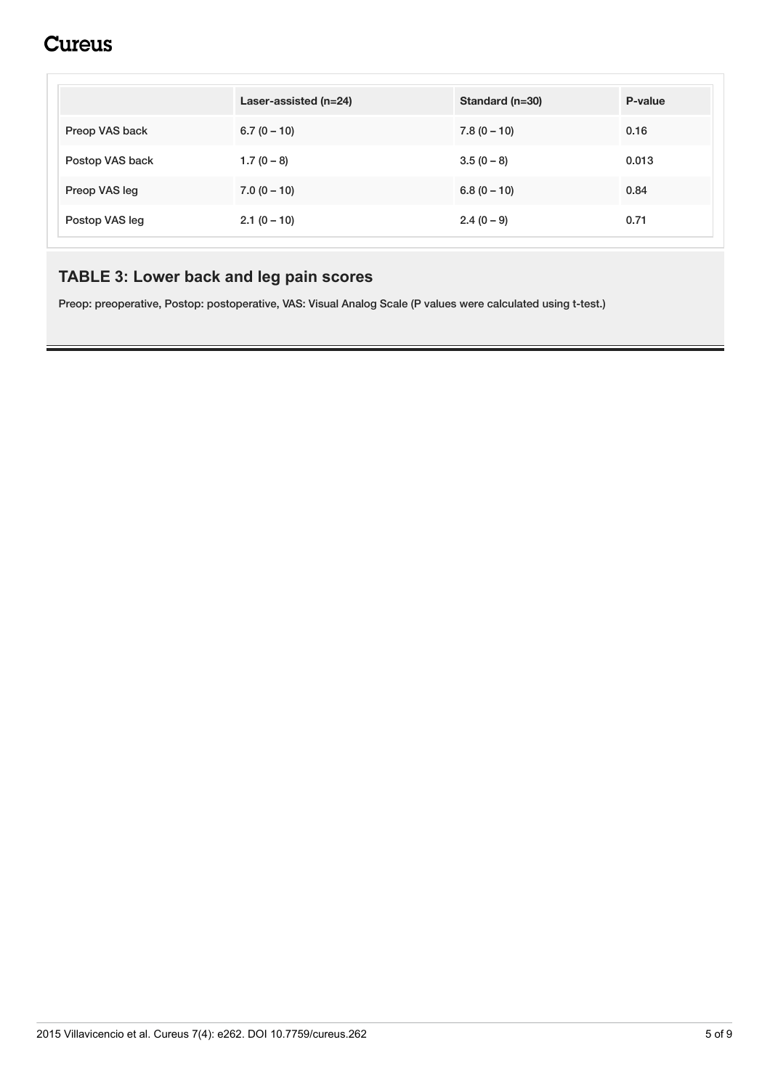## **Cureus**

<span id="page-4-0"></span>

|                 | Laser-assisted (n=24) | Standard (n=30) | P-value |
|-----------------|-----------------------|-----------------|---------|
| Preop VAS back  | $6.7(0 - 10)$         | $7.8(0 - 10)$   | 0.16    |
| Postop VAS back | $1.7(0 - 8)$          | $3.5(0 - 8)$    | 0.013   |
| Preop VAS leg   | $7.0(0 - 10)$         | $6.8(0 - 10)$   | 0.84    |
| Postop VAS leg  | $2.1(0 - 10)$         | $2.4(0-9)$      | 0.71    |

### **TABLE 3: Lower back and leg pain scores**

Preop: preoperative, Postop: postoperative, VAS: Visual Analog Scale (P values were calculated using t-test.)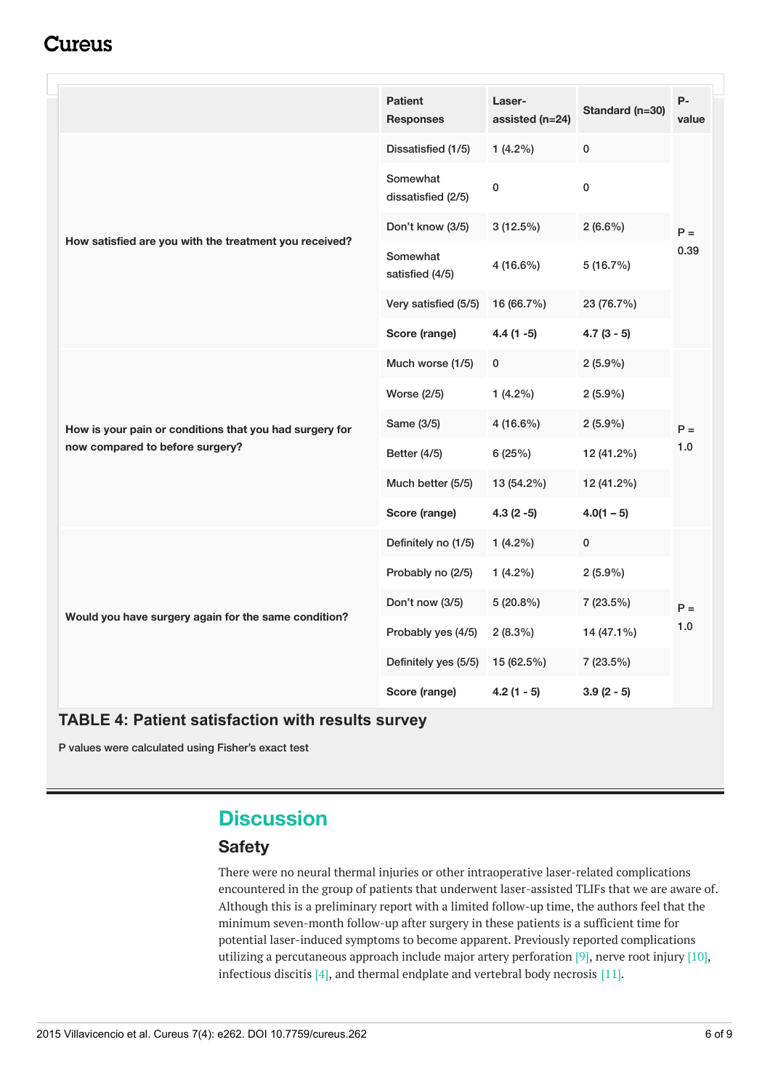### Cureus

<span id="page-5-0"></span>

|                                                         | <b>Patient</b><br><b>Responses</b> | Laser-<br>assisted (n=24) | Standard (n=30) | $P -$<br>value |
|---------------------------------------------------------|------------------------------------|---------------------------|-----------------|----------------|
|                                                         | Dissatisfied (1/5)                 | $1(4.2\%)$                | $\pmb{0}$       | $P =$<br>0.39  |
|                                                         | Somewhat<br>dissatisfied (2/5)     | $\pmb{0}$                 | $\pmb{0}$       |                |
| How satisfied are you with the treatment you received?  | Don't know (3/5)                   | 3(12.5%)                  | $2(6.6\%)$      |                |
|                                                         | Somewhat<br>satisfied (4/5)        | 4 (16.6%)                 | 5 (16.7%)       |                |
|                                                         | Very satisfied (5/5)               | 16 (66.7%)                | 23 (76.7%)      |                |
|                                                         | Score (range)                      | $4.4(1 - 5)$              | $4.7(3-5)$      |                |
|                                                         | Much worse (1/5)                   | 0                         | $2(5.9\%)$      |                |
|                                                         | <b>Worse (2/5)</b>                 | $1(4.2\%)$                | $2(5.9\%)$      | $P =$<br>1.0   |
| How is your pain or conditions that you had surgery for | Same (3/5)                         | 4 (16.6%)                 | $2(5.9\%)$      |                |
| now compared to before surgery?                         | <b>Better (4/5)</b>                | 6(25%)                    | 12 (41.2%)      |                |
|                                                         | Much better (5/5)                  | 13 (54.2%)                | 12 (41.2%)      |                |
|                                                         | Score (range)                      | $4.3(2-5)$                | $4.0(1 - 5)$    |                |
|                                                         | Definitely no (1/5)                | $1(4.2\%)$                | $\pmb{0}$       | $P =$<br>1.0   |
|                                                         | Probably no (2/5)                  | $1(4.2\%)$                | $2(5.9\%)$      |                |
| Would you have surgery again for the same condition?    | Don't now (3/5)                    | $5(20.8\%)$               | 7 (23.5%)       |                |
|                                                         | Probably yes (4/5)                 | $2(8.3\%)$                | 14 (47.1%)      |                |
|                                                         | Definitely yes (5/5)               | 15 (62.5%)                | 7 (23.5%)       |                |
|                                                         | Score (range)                      | $4.2(1 - 5)$              | $3.9(2-5)$      |                |

#### **TABLE 4: Patient satisfaction with results survey**

P values were calculated using Fisher's exact test

### **Discussion**

#### **Safety**

There were no neural thermal injuries or other intraoperative laser-related complications encountered in the group of patients that underwent laser-assisted TLIFs that we are aware of. Although this is a preliminary report with a limited follow-up time, the authors feel that the minimum seven-month follow-up after surgery in these patients is a sufficient time for potential laser-induced symptoms to become apparent. Previously reported complications utilizing a percutaneous approach include major artery perforation [9], nerve root injury [10], infectious discitis [4], and thermal endplate and vertebral body necrosis [11].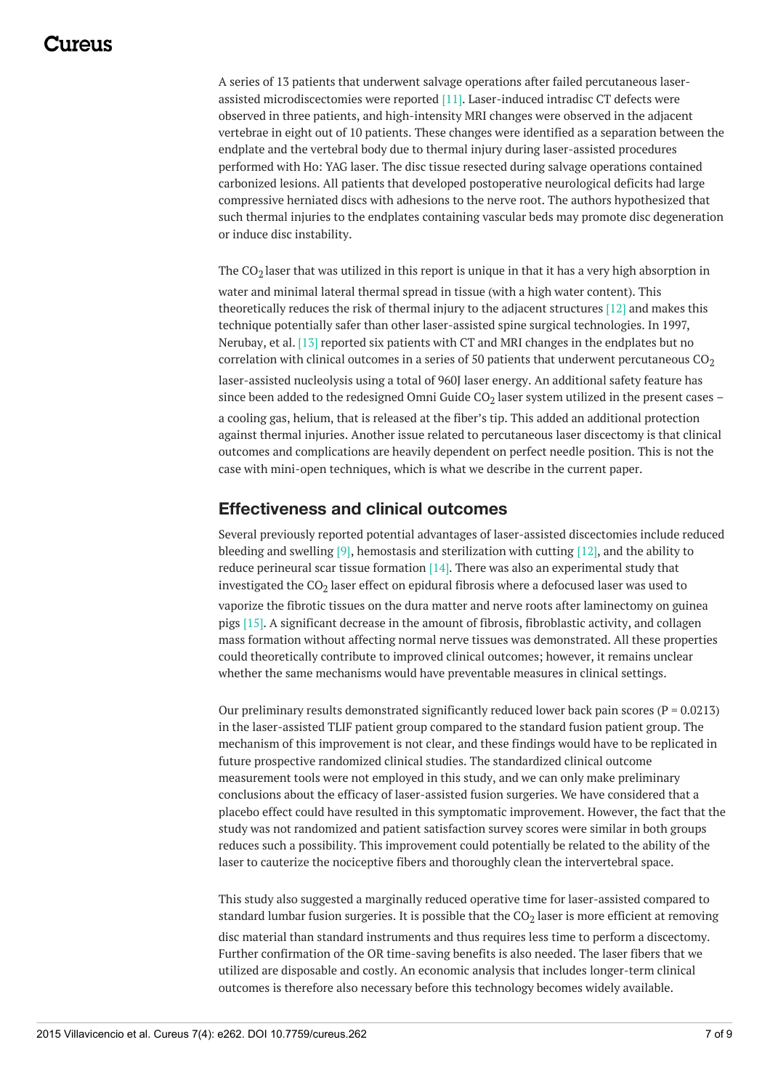### 117A119

A series of 13 patients that underwent salvage operations after failed percutaneous laserassisted microdiscectomies were reported [11]. Laser-induced intradisc CT defects were observed in three patients, and high-intensity MRI changes were observed in the adjacent vertebrae in eight out of 10 patients. These changes were identified as a separation between the endplate and the vertebral body due to thermal injury during laser-assisted procedures performed with Ho: YAG laser. The disc tissue resected during salvage operations contained carbonized lesions. All patients that developed postoperative neurological deficits had large compressive herniated discs with adhesions to the nerve root. The authors hypothesized that such thermal injuries to the endplates containing vascular beds may promote disc degeneration or induce disc instability.

The CO $_2$  laser that was utilized in this report is unique in that it has a very high absorption in water and minimal lateral thermal spread in tissue (with a high water content). This theoretically reduces the risk of thermal injury to the adjacent structures [12] and makes this technique potentially safer than other laser-assisted spine surgical technologies. In 1997, Nerubay, et al. [13] reported six patients with CT and MRI changes in the endplates but no correlation with clinical outcomes in a series of 50 patients that underwent percutaneous  $CO<sub>2</sub>$ laser-assisted nucleolysis using a total of 960J laser energy. An additional safety feature has since been added to the redesigned Omni Guide CO $_2$  laser system utilized in the present cases – a cooling gas, helium, that is released at the fiber's tip. This added an additional protection against thermal injuries. Another issue related to percutaneous laser discectomy is that clinical outcomes and complications are heavily dependent on perfect needle position. This is not the case with mini-open techniques, which is what we describe in the current paper.

#### **Effectiveness and clinical outcomes**

Several previously reported potential advantages of laser-assisted discectomies include reduced bleeding and swelling [9], hemostasis and sterilization with cutting [12], and the ability to reduce perineural scar tissue formation  $[14]$ . There was also an experimental study that investigated the CO<sub>2</sub> laser effect on epidural fibrosis where a defocused laser was used to

vaporize the fibrotic tissues on the dura matter and nerve roots after laminectomy on guinea pigs [15]. A significant decrease in the amount of fibrosis, fibroblastic activity, and collagen mass formation without affecting normal nerve tissues was demonstrated. All these properties could theoretically contribute to improved clinical outcomes; however, it remains unclear whether the same mechanisms would have preventable measures in clinical settings.

Our preliminary results demonstrated significantly reduced lower back pain scores ( $P = 0.0213$ ) in the laser-assisted TLIF patient group compared to the standard fusion patient group. The mechanism of this improvement is not clear, and these findings would have to be replicated in future prospective randomized clinical studies. The standardized clinical outcome measurement tools were not employed in this study, and we can only make preliminary conclusions about the efficacy of laser-assisted fusion surgeries. We have considered that a placebo effect could have resulted in this symptomatic improvement. However, the fact that the study was not randomized and patient satisfaction survey scores were similar in both groups reduces such a possibility. This improvement could potentially be related to the ability of the laser to cauterize the nociceptive fibers and thoroughly clean the intervertebral space.

This study also suggested a marginally reduced operative time for laser-assisted compared to standard lumbar fusion surgeries. It is possible that the CO $_2$  laser is more efficient at removing

disc material than standard instruments and thus requires less time to perform a discectomy. Further confirmation of the OR time-saving benefits is also needed. The laser fibers that we utilized are disposable and costly. An economic analysis that includes longer-term clinical outcomes is therefore also necessary before this technology becomes widely available.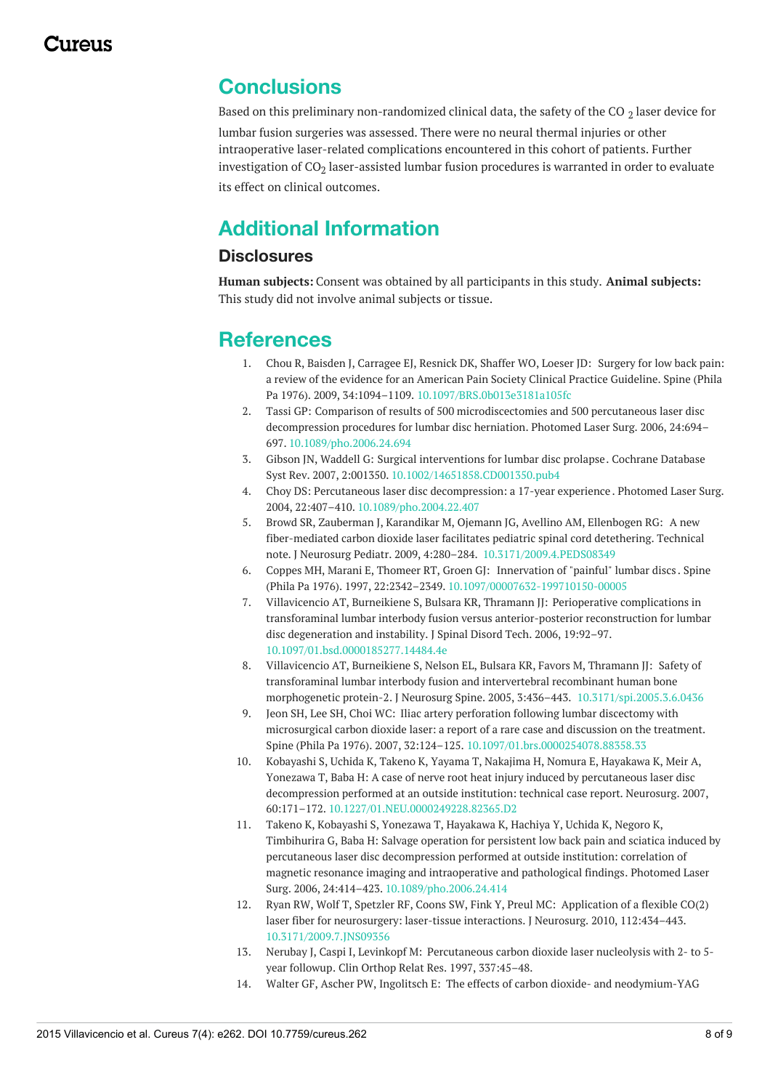### **Conclusions**

Based on this preliminary non-randomized clinical data, the safety of the CO  $_2$  laser device for lumbar fusion surgeries was assessed. There were no neural thermal injuries or other intraoperative laser-related complications encountered in this cohort of patients. Further investigation of CO $_{\rm 2}$  laser-assisted lumbar fusion procedures is warranted in order to evaluate its effect on clinical outcomes.

## **Additional Information**

#### **Disclosures**

**Human subjects:** Consent was obtained by all participants in this study. **Animal subjects:** This study did not involve animal subjects or tissue.

### **References**

- 1. Chou R, Baisden J, Carragee EJ, Resnick DK, Shaffer WO, Loeser JD: Surgery for low back pain: a review of the evidence for an American Pain Society Clinical Practice [Guideline.](http://dx.doi.org/10.1097/BRS.0b013e3181a105fc) Spine (Phila Pa 1976). 2009, 34:1094–1109. [10.1097/BRS.0b013e3181a105fc](http://dx.doi.org/10.1097/BRS.0b013e3181a105fc)
- 2. Tassi GP: Comparison of results of 500 [microdiscectomies](http://dx.doi.org/10.1089/pho.2006.24.694) and 500 percutaneous laser disc decompression procedures for lumbar disc herniation. Photomed Laser Surg. 2006, 24:694– 697. [10.1089/pho.2006.24.694](http://dx.doi.org/10.1089/pho.2006.24.694)
- 3. Gibson JN, Waddell G: Surgical [interventions](http://dx.doi.org/10.1002/14651858.CD001350.pub4) for lumbar disc prolapse. Cochrane Database Syst Rev. 2007, 2:001350. [10.1002/14651858.CD001350.pub4](http://dx.doi.org/10.1002/14651858.CD001350.pub4)
- 4. Choy DS: Percutaneous laser disc [decompression:](http://dx.doi.org/10.1089/pho.2004.22.407) a 17-year experience . Photomed Laser Surg. 2004, 22:407–410. [10.1089/pho.2004.22.407](http://dx.doi.org/10.1089/pho.2004.22.407)
- 5. Browd SR, Zauberman J, Karandikar M, Ojemann JG, Avellino AM, Ellenbogen RG: A new fiber-mediated carbon dioxide laser facilitates pediatric spinal cord detethering. Technical note. J Neurosurg Pediatr. 2009, 4:280–284. [10.3171/2009.4.PEDS08349](http://dx.doi.org/10.3171/2009.4.PEDS08349)
- 6. Coppes MH, Marani E, Thomeer RT, Groen GJ: [Innervation](http://dx.doi.org/10.1097/00007632-199710150-00005) of "painful" lumbar discs . Spine (Phila Pa 1976). 1997, 22:2342–2349. [10.1097/00007632-199710150-00005](http://dx.doi.org/10.1097/00007632-199710150-00005)
- 7. Villavicencio AT, Burneikiene S, Bulsara KR, Thramann JJ: Perioperative complications in transforaminal lumbar interbody fusion versus [anterior-posterior](http://dx.doi.org/10.1097/01.bsd.0000185277.14484.4e) reconstruction for lumbar disc degeneration and instability. J Spinal Disord Tech. 2006, 19:92–97. [10.1097/01.bsd.0000185277.14484.4e](http://dx.doi.org/10.1097/01.bsd.0000185277.14484.4e)
- 8. Villavicencio AT, Burneikiene S, Nelson EL, Bulsara KR, Favors M, Thramann JJ: Safety of transforaminal lumbar interbody fusion and intervertebral recombinant human bone morphogenetic protein-2. J Neurosurg Spine. 2005, 3:436–443. [10.3171/spi.2005.3.6.0436](http://dx.doi.org/10.3171/spi.2005.3.6.0436)
- 9. Jeon SH, Lee SH, Choi WC: Iliac artery perforation following lumbar discectomy with [microsurgical](http://dx.doi.org/10.1097/01.brs.0000254078.88358.33) carbon dioxide laser: a report of a rare case and discussion on the treatment. Spine (Phila Pa 1976). 2007, 32:124–125. [10.1097/01.brs.0000254078.88358.33](http://dx.doi.org/10.1097/01.brs.0000254078.88358.33)
- 10. Kobayashi S, Uchida K, Takeno K, Yayama T, Nakajima H, Nomura E, Hayakawa K, Meir A, Yonezawa T, Baba H: A case of nerve root heat injury induced by percutaneous laser disc [decompression](http://dx.doi.org/10.1227/01.NEU.0000249228.82365.D2) performed at an outside institution: technical case report. Neurosurg. 2007, 60:171–172. [10.1227/01.NEU.0000249228.82365.D2](http://dx.doi.org/10.1227/01.NEU.0000249228.82365.D2)
- 11. Takeno K, Kobayashi S, Yonezawa T, Hayakawa K, Hachiya Y, Uchida K, Negoro K, Timbihurira G, Baba H: Salvage operation for persistent low back pain and sciatica induced by percutaneous laser disc [decompression](http://dx.doi.org/10.1089/pho.2006.24.414) performed at outside institution: correlation of magnetic resonance imaging and intraoperative and pathological findings. Photomed Laser Surg. 2006, 24:414–423. [10.1089/pho.2006.24.414](http://dx.doi.org/10.1089/pho.2006.24.414)
- 12. Ryan RW, Wolf T, Spetzler RF, Coons SW, Fink Y, Preul MC: Application of a flexible CO(2) laser fiber for [neurosurgery:](http://dx.doi.org/10.3171/2009.7.JNS09356) laser-tissue interactions. J Neurosurg. 2010, 112:434–443. [10.3171/2009.7.JNS09356](http://dx.doi.org/10.3171/2009.7.JNS09356)
- 13. Nerubay J, Caspi I, Levinkopf M: [Percutaneous](http://scholar.google.com/scholar?q=intitle:Percutaneous carbon dioxide laser nucleolysis with 2- to 5-year followup) carbon dioxide laser nucleolysis with 2- to 5 year followup. Clin Orthop Relat Res. 1997, 337:45–48.
- 14. Walter GF, Ascher PW, Ingolitsch E: The effects of carbon dioxide- and [neodymium-YAG](http://dx.doi.org/10.1136/jnnp.47.7.745)